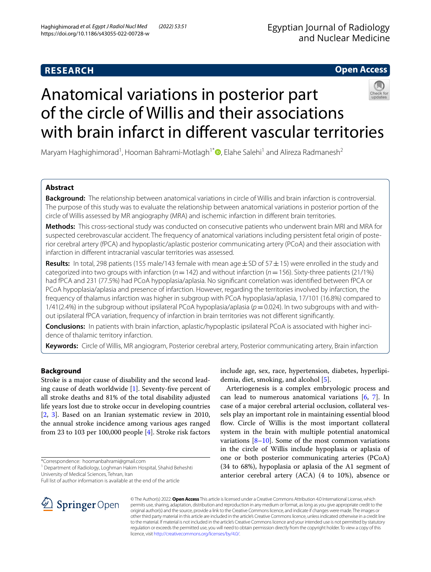# **RESEARCH**

# **Open Access**



# Anatomical variations in posterior part of the circle of Willis and their associations with brain infarct in diferent vascular territories

Maryam Haghighimorad<sup>1</sup>, Hooman Bahrami-Motlagh<sup>1[\\*](http://orcid.org/0000-0002-0593-8511)</sup> , Elahe Salehi<sup>1</sup> and Alireza Radmanesh<sup>2</sup>

# **Abstract**

**Background:** The relationship between anatomical variations in circle of Willis and brain infarction is controversial. The purpose of this study was to evaluate the relationship between anatomical variations in posterior portion of the circle of Willis assessed by MR angiography (MRA) and ischemic infarction in diferent brain territories.

**Methods:** This cross-sectional study was conducted on consecutive patients who underwent brain MRI and MRA for suspected cerebrovascular accident. The frequency of anatomical variations including persistent fetal origin of posterior cerebral artery (fPCA) and hypoplastic/aplastic posterior communicating artery (PCoA) and their association with infarction in diferent intracranial vascular territories was assessed.

**Results:** In total, 298 patients (155 male/143 female with mean age±SD of 57±15) were enrolled in the study and categorized into two groups with infarction (*n*=142) and without infarction (*n*=156). Sixty-three patients (21/1%) had fPCA and 231 (77.5%) had PCoA hypoplasia/aplasia. No signifcant correlation was identifed between fPCA or PCoA hypoplasia/aplasia and presence of infarction. However, regarding the territories involved by infarction, the frequency of thalamus infarction was higher in subgroup with PCoA hypoplasia/aplasia, 17/101 (16.8%) compared to 1/41(2.4%) in the subgroup without ipsilateral PCoA hypoplasia/aplasia ( $p=0.024$ ). In two subgroups with and without ipsilateral fPCA variation, frequency of infarction in brain territories was not diferent signifcantly.

**Conclusions:** In patients with brain infarction, aplastic/hypoplastic ipsilateral PCoA is associated with higher inci‑ dence of thalamic territory infarction.

**Keywords:** Circle of Willis, MR angiogram, Posterior cerebral artery, Posterior communicating artery, Brain infarction

# **Background**

Stroke is a major cause of disability and the second leading cause of death worldwide [[1\]](#page-5-0). Seventy-fve percent of all stroke deaths and 81% of the total disability adjusted life years lost due to stroke occur in developing countries [[2,](#page-5-1) [3](#page-5-2)]. Based on an Iranian systematic review in 2010, the annual stroke incidence among various ages ranged from 23 to 103 per 100,000 people [\[4](#page-5-3)]. Stroke risk factors

<sup>1</sup> Department of Radiology, Loghman Hakim Hospital, Shahid Beheshti University of Medical Sciences, Tehran, Iran

Full list of author information is available at the end of the article



Arteriogenesis is a complex embryologic process and can lead to numerous anatomical variations [[6,](#page-5-5) [7\]](#page-5-6). In case of a major cerebral arterial occlusion, collateral vessels play an important role in maintaining essential blood flow. Circle of Willis is the most important collateral system in the brain with multiple potential anatomical variations  $[8-10]$  $[8-10]$ . Some of the most common variations in the circle of Willis include hypoplasia or aplasia of one or both posterior communicating arteries (PCoA) (34 to 68%), hypoplasia or aplasia of the A1 segment of anterior cerebral artery (ACA) (4 to 10%), absence or



© The Author(s) 2022. **Open Access** This article is licensed under a Creative Commons Attribution 4.0 International License, which permits use, sharing, adaptation, distribution and reproduction in any medium or format, as long as you give appropriate credit to the original author(s) and the source, provide a link to the Creative Commons licence, and indicate if changes were made. The images or other third party material in this article are included in the article's Creative Commons licence, unless indicated otherwise in a credit line to the material. If material is not included in the article's Creative Commons licence and your intended use is not permitted by statutory regulation or exceeds the permitted use, you will need to obtain permission directly from the copyright holder. To view a copy of this licence, visit [http://creativecommons.org/licenses/by/4.0/.](http://creativecommons.org/licenses/by/4.0/)

<sup>\*</sup>Correspondence: hoomanbahrami@gmail.com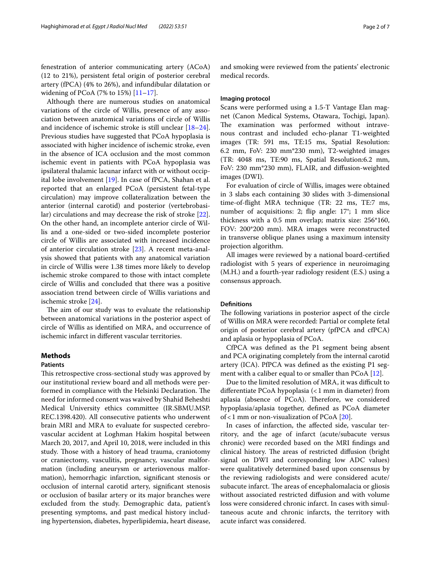fenestration of anterior communicating artery (ACoA) (12 to 21%), persistent fetal origin of posterior cerebral artery (fPCA) (4% to 26%), and infundibular dilatation or widening of PCoA (7% to 15%) [\[11–](#page-5-9)[17\]](#page-5-10).

Although there are numerous studies on anatomical variations of the circle of Willis, presence of any association between anatomical variations of circle of Willis and incidence of ischemic stroke is still unclear [[18](#page-6-0)[–24](#page-6-1)]. Previous studies have suggested that PCoA hypoplasia is associated with higher incidence of ischemic stroke, even in the absence of ICA occlusion and the most common ischemic event in patients with PCoA hypoplasia was ipsilateral thalamic lacunar infarct with or without occipital lobe involvement [\[19](#page-6-2)]. In case of fPCA, Shahan et al. reported that an enlarged PCoA (persistent fetal-type circulation) may improve collateralization between the anterior (internal carotid) and posterior (vertebrobasilar) circulations and may decrease the risk of stroke [\[22](#page-6-3)]. On the other hand, an incomplete anterior circle of Willis and a one-sided or two-sided incomplete posterior circle of Willis are associated with increased incidence of anterior circulation stroke [\[23\]](#page-6-4). A recent meta-analysis showed that patients with any anatomical variation in circle of Willis were 1.38 times more likely to develop ischemic stroke compared to those with intact complete circle of Willis and concluded that there was a positive association trend between circle of Willis variations and ischemic stroke [[24\]](#page-6-1).

The aim of our study was to evaluate the relationship between anatomical variations in the posterior aspect of circle of Willis as identifed on MRA, and occurrence of ischemic infarct in diferent vascular territories.

## **Methods**

## **Patients**

This retrospective cross-sectional study was approved by our institutional review board and all methods were performed in compliance with the Helsinki Declaration. The need for informed consent was waived by Shahid Beheshti Medical University ethics committee (IR.SBMU.MSP. REC.1398.420). All consecutive patients who underwent brain MRI and MRA to evaluate for suspected cerebrovascular accident at Loghman Hakim hospital between March 20, 2017, and April 10, 2018, were included in this study. Those with a history of head trauma, craniotomy or craniectomy, vasculitis, pregnancy, vascular malformation (including aneurysm or arteriovenous malformation), hemorrhagic infarction, signifcant stenosis or occlusion of internal carotid artery, signifcant stenosis or occlusion of basilar artery or its major branches were excluded from the study. Demographic data, patient's presenting symptoms, and past medical history including hypertension, diabetes, hyperlipidemia, heart disease, and smoking were reviewed from the patients' electronic medical records.

# **Imaging protocol**

Scans were performed using a 1.5-T Vantage Elan magnet (Canon Medical Systems, Otawara, Tochigi, Japan). The examination was performed without intravenous contrast and included echo-planar T1-weighted images (TR: 591 ms, TE:15 ms, Spatial Resolution: 6.2 mm, FoV: 230 mm\*230 mm), T2-weighted images (TR: 4048 ms, TE:90 ms, Spatial Resolution:6.2 mm, FoV: 230 mm\*230 mm), FLAIR, and difusion-weighted images (DWI).

For evaluation of circle of Willis, images were obtained in 3 slabs each containing 30 slides with 3-dimensional time-of-fight MRA technique (TR: 22 ms, TE:7 ms, number of acquisitions: 2; fip angle: 17°; 1 mm slice thickness with a 0.5 mm overlap; matrix size: 256\*160, FOV: 200\*200 mm). MRA images were reconstructed in transverse oblique planes using a maximum intensity projection algorithm.

All images were reviewed by a national board-certifed radiologist with 5 years of experience in neuroimaging (M.H.) and a fourth-year radiology resident (E.S.) using a consensus approach.

## **Defnitions**

The following variations in posterior aspect of the circle of Willis on MRA were recorded: Partial or complete fetal origin of posterior cerebral artery (pfPCA and cfPCA) and aplasia or hypoplasia of PCoA.

CfPCA was defned as the P1 segment being absent and PCA originating completely from the internal carotid artery (ICA). PfPCA was defned as the existing P1 segment with a caliber equal to or smaller than PCoA [[12\]](#page-5-11).

Due to the limited resolution of MRA, it was difficult to diferentiate PCoA hypoplasia (<1 mm in diameter) from aplasia (absence of PCoA). Therefore, we considered hypoplasia/aplasia together, defned as PCoA diameter of < 1 mm or non-visualization of PCoA  $[20]$  $[20]$ .

In cases of infarction, the afected side, vascular territory, and the age of infarct (acute/subacute versus chronic) were recorded based on the MRI fndings and clinical history. The areas of restricted diffusion (bright signal on DWI and corresponding low ADC values) were qualitatively determined based upon consensus by the reviewing radiologists and were considered acute/ subacute infarct. The areas of encephalomalacia or gliosis without associated restricted difusion and with volume loss were considered chronic infarct. In cases with simultaneous acute and chronic infarcts, the territory with acute infarct was considered.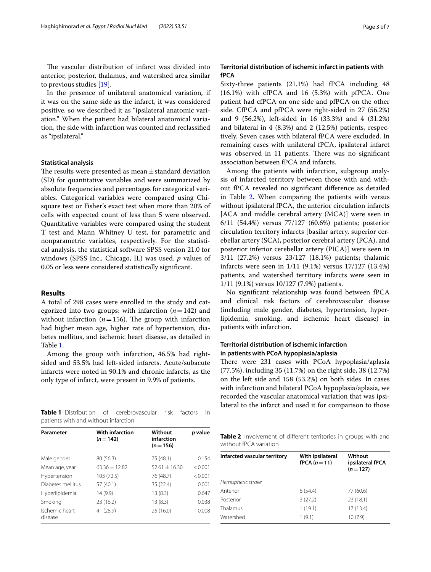The vascular distribution of infarct was divided into anterior, posterior, thalamus, and watershed area similar to previous studies [[19\]](#page-6-2).

In the presence of unilateral anatomical variation, if it was on the same side as the infarct, it was considered positive, so we described it as "ipsilateral anatomic variation." When the patient had bilateral anatomical variation, the side with infarction was counted and reclassifed as "ipsilateral."

## **Statistical analysis**

The results were presented as mean $\pm$ standard deviation (SD) for quantitative variables and were summarized by absolute frequencies and percentages for categorical variables. Categorical variables were compared using Chisquare test or Fisher's exact test when more than 20% of cells with expected count of less than 5 were observed. Quantitative variables were compared using the student T test and Mann Whitney U test, for parametric and nonparametric variables, respectively. For the statistical analysis, the statistical software SPSS version 21.0 for windows (SPSS Inc., Chicago, IL) was used. *p* values of 0.05 or less were considered statistically signifcant.

## **Results**

A total of 298 cases were enrolled in the study and categorized into two groups: with infarction (*n*=142) and without infarction  $(n=156)$ . The group with infarction had higher mean age, higher rate of hypertension, diabetes mellitus, and ischemic heart disease, as detailed in Table [1](#page-2-0).

Among the group with infarction, 46.5% had rightsided and 53.5% had left-sided infarcts. Acute/subacute infarcts were noted in 90.1% and chronic infarcts, as the only type of infarct, were present in 9.9% of patients.

<span id="page-2-0"></span>**Table 1** Distribution of cerebrovascular risk factors in patients with and without infarction

| Parameter                 | <b>With infarction</b><br>$(n=142)$ | Without<br>infarction<br>$(n=156)$ | p value |  |
|---------------------------|-------------------------------------|------------------------------------|---------|--|
| Male gender               | 80 (56.3)                           | 75 (48.1)                          | 0.154   |  |
| Mean age, year            | $63.36 \pm 12.82$                   | $52.61 \pm 16.30$                  | < 0.001 |  |
| Hypertension              | 103 (72.5)                          | 76 (48.7)                          | < 0.001 |  |
| Diabetes mellitus         | 57 (40.1)                           | 35 (22.4)                          | 0.001   |  |
| Hyperlipidemia            | 14 (9.9)                            | 13(8.3)                            | 0.647   |  |
| Smoking                   | 23 (16.2)                           | 13(8.3)                            | 0.038   |  |
| Ischemic heart<br>disease | 41 (28.9)                           | 25 (16.0)                          | 0.008   |  |

# **Territorial distribution of ischemic infarct in patients with fPCA**

Sixty-three patients (21.1%) had fPCA including 48 (16.1%) with cfPCA and 16 (5.3%) with pfPCA. One patient had cfPCA on one side and pfPCA on the other side. CfPCA and pfPCA were right-sided in 27 (56.2%) and 9 (56.2%), left-sided in 16 (33.3%) and 4 (31.2%) and bilateral in 4 (8.3%) and 2 (12.5%) patients, respectively. Seven cases with bilateral fPCA were excluded. In remaining cases with unilateral fPCA, ipsilateral infarct was observed in 11 patients. There was no significant association between fPCA and infarcts.

Among the patients with infarction, subgroup analysis of infarcted territory between those with and without fPCA revealed no signifcant diference as detailed in Table [2](#page-2-1). When comparing the patients with versus without ipsilateral fPCA, the anterior circulation infarcts [ACA and middle cerebral artery (MCA)] were seen in 6/11 (54.4%) versus 77/127 (60.6%) patients; posterior circulation territory infarcts [basilar artery, superior cerebellar artery (SCA), posterior cerebral artery (PCA), and posterior inferior cerebellar artery (PICA)] were seen in 3/11 (27.2%) versus 23/127 (18.1%) patients; thalamic infarcts were seen in 1/11 (9.1%) versus 17/127 (13.4%) patients, and watershed territory infarcts were seen in 1/11 (9.1%) versus 10/127 (7.9%) patients.

No signifcant relationship was found between fPCA and clinical risk factors of cerebrovascular disease (including male gender, diabetes, hypertension, hyperlipidemia, smoking, and ischemic heart disease) in patients with infarction.

# **Territorial distribution of ischemic infarction in patients with PCoA hypoplasia/aplasia**

There were 231 cases with PCoA hypoplasia/aplasia (77.5%), including 35 (11.7%) on the right side, 38 (12.7%) on the left side and 158 (53.2%) on both sides. In cases with infarction and bilateral PCoA hypoplasia/aplasia, we recorded the vascular anatomical variation that was ipsilateral to the infarct and used it for comparison to those

<span id="page-2-1"></span>

| Table 2 Involvement of different territories in groups with and |  |  |  |
|-----------------------------------------------------------------|--|--|--|
| without fPCA variation                                          |  |  |  |

| Infarcted vascular territory | With ipsilateral<br>fPCA $(n=11)$ | Without<br>ipsilateral fPCA |  |
|------------------------------|-----------------------------------|-----------------------------|--|
|                              |                                   | $(n=127)$                   |  |
| Hemispheric stroke           |                                   |                             |  |
| Anterior                     | 6(54.4)                           | 77 (60.6)                   |  |
| Posterior                    | 3(27.2)                           | 23(18.1)                    |  |
| Thalamus                     | 1(19.1)                           | 17 (13.4)                   |  |
| Watershed                    | 1(9.1)                            | 10(7.9)                     |  |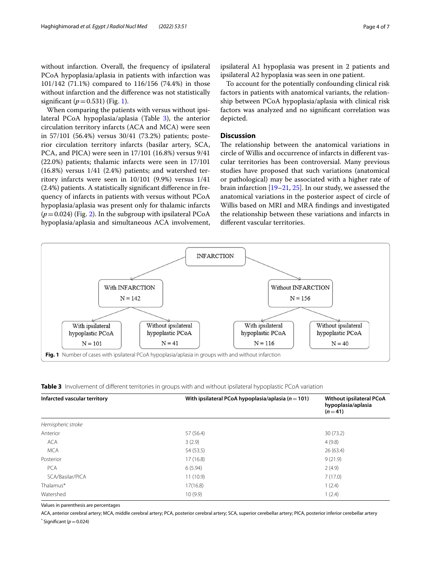without infarction. Overall, the frequency of ipsilateral PCoA hypoplasia/aplasia in patients with infarction was 101/142 (71.1%) compared to 116/156 (74.4%) in those without infarction and the diference was not statistically significant  $(p=0.531)$  $(p=0.531)$  $(p=0.531)$  (Fig. 1).

When comparing the patients with versus without ipsilateral PCoA hypoplasia/aplasia (Table [3](#page-3-1)), the anterior circulation territory infarcts (ACA and MCA) were seen in 57/101 (56.4%) versus 30/41 (73.2%) patients; posterior circulation territory infarcts (basilar artery, SCA, PCA, and PICA) were seen in 17/101 (16.8%) versus 9/41 (22.0%) patients; thalamic infarcts were seen in 17/101 (16.8%) versus 1/41 (2.4%) patients; and watershed territory infarcts were seen in 10/101 (9.9%) versus 1/41 (2.4%) patients. A statistically signifcant diference in frequency of infarcts in patients with versus without PCoA hypoplasia/aplasia was present only for thalamic infarcts  $(p=0.024)$  (Fig. [2\)](#page-4-0). In the subgroup with ipsilateral PCoA hypoplasia/aplasia and simultaneous ACA involvement,

ipsilateral A1 hypoplasia was present in 2 patients and ipsilateral A2 hypoplasia was seen in one patient.

To account for the potentially confounding clinical risk factors in patients with anatomical variants, the relationship between PCoA hypoplasia/aplasia with clinical risk factors was analyzed and no signifcant correlation was depicted.

# **Discussion**

The relationship between the anatomical variations in circle of Willis and occurrence of infarcts in diferent vascular territories has been controversial. Many previous studies have proposed that such variations (anatomical or pathological) may be associated with a higher rate of brain infarction [\[19–](#page-6-2)[21,](#page-6-6) [25](#page-6-7)]. In our study, we assessed the anatomical variations in the posterior aspect of circle of Willis based on MRI and MRA fndings and investigated the relationship between these variations and infarcts in diferent vascular territories.



<span id="page-3-1"></span><span id="page-3-0"></span>**Table 3** Involvement of different territories in groups with and without ipsilateral hypoplastic PCoA variation

| Infarcted vascular territory | With ipsilateral PCoA hypoplasia/aplasia ( $n = 101$ ) | Without ipsilateral PCoA<br>hypoplasia/aplasia<br>$(n=41)$ |  |
|------------------------------|--------------------------------------------------------|------------------------------------------------------------|--|
| Hemispheric stroke           |                                                        |                                                            |  |
| Anterior                     | 57 (56.4)                                              | 30(73.2)                                                   |  |
| <b>ACA</b>                   | 3(2.9)                                                 | 4(9.8)                                                     |  |
| <b>MCA</b>                   | 54 (53.5)                                              | 26(63.4)                                                   |  |
| Posterior                    | 17(16.8)                                               | 9(21.9)                                                    |  |
| PCA                          | 6(5.94)                                                | 2(4.9)                                                     |  |
| SCA/Basilar/PICA             | 11(10.9)                                               | 7(17.0)                                                    |  |
| Thalamus*                    | 17(16.8)                                               | 1(2.4)                                                     |  |
| Watershed                    | 10(9.9)                                                | 1(2.4)                                                     |  |

Values in parenthesis are percentages

ACA, anterior cerebral artery; MCA, middle cerebral artery; PCA, posterior cerebral artery; SCA, superior cerebellar artery; PICA, posterior inferior cerebellar artery  $*$  Significant ( $p$  = 0.024)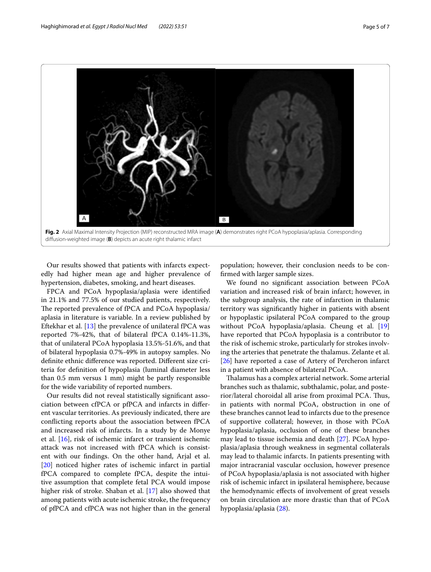

<span id="page-4-0"></span>difusion-weighted image (**B**) depicts an acute right thalamic infarct

Our results showed that patients with infarcts expectedly had higher mean age and higher prevalence of hypertension, diabetes, smoking, and heart diseases.

FPCA and PCoA hypoplasia/aplasia were identifed in 21.1% and 77.5% of our studied patients, respectively. The reported prevalence of fPCA and PCoA hypoplasia/ aplasia in literature is variable. In a review published by Eftekhar et al. [[13](#page-5-12)] the prevalence of unilateral fPCA was reported 7%-42%, that of bilateral fPCA 0.14%-11.3%, that of unilateral PCoA hypoplasia 13.5%-51.6%, and that of bilateral hypoplasia 0.7%-49% in autopsy samples. No defnite ethnic diference was reported. Diferent size criteria for defnition of hypoplasia (luminal diameter less than 0.5 mm versus 1 mm) might be partly responsible for the wide variability of reported numbers.

Our results did not reveal statistically signifcant association between cfPCA or pfPCA and infarcts in diferent vascular territories. As previously indicated, there are conficting reports about the association between fPCA and increased risk of infarcts. In a study by de Monye et al. [[16\]](#page-5-13), risk of ischemic infarct or transient ischemic attack was not increased with fPCA which is consistent with our fndings. On the other hand, Arjal et al. [[20\]](#page-6-5) noticed higher rates of ischemic infarct in partial fPCA compared to complete fPCA, despite the intuitive assumption that complete fetal PCA would impose higher risk of stroke. Shaban et al. [\[17\]](#page-5-10) also showed that among patients with acute ischemic stroke, the frequency of pfPCA and cfPCA was not higher than in the general

population; however, their conclusion needs to be confrmed with larger sample sizes.

We found no signifcant association between PCoA variation and increased risk of brain infarct; however, in the subgroup analysis, the rate of infarction in thalamic territory was signifcantly higher in patients with absent or hypoplastic ipsilateral PCoA compared to the group without PCoA hypoplasia/aplasia. Cheung et al. [[19](#page-6-2)] have reported that PCoA hypoplasia is a contributor to the risk of ischemic stroke, particularly for strokes involving the arteries that penetrate the thalamus. Zelante et al. [[26\]](#page-6-8) have reported a case of Artery of Percheron infarct in a patient with absence of bilateral PCoA.

Talamus has a complex arterial network. Some arterial branches such as thalamic, subthalamic, polar, and posterior/lateral choroidal all arise from proximal PCA. Tus, in patients with normal PCoA, obstruction in one of these branches cannot lead to infarcts due to the presence of supportive collateral; however, in those with PCoA hypoplasia/aplasia, occlusion of one of these branches may lead to tissue ischemia and death [[27\]](#page-6-9). PCoA hypoplasia/aplasia through weakness in segmental collaterals may lead to thalamic infarcts. In patients presenting with major intracranial vascular occlusion, however presence of PCoA hypoplasia/aplasia is not associated with higher risk of ischemic infarct in ipsilateral hemisphere, because the hemodynamic efects of involvement of great vessels on brain circulation are more drastic than that of PCoA hypoplasia/aplasia [\(28](#page-6-10)).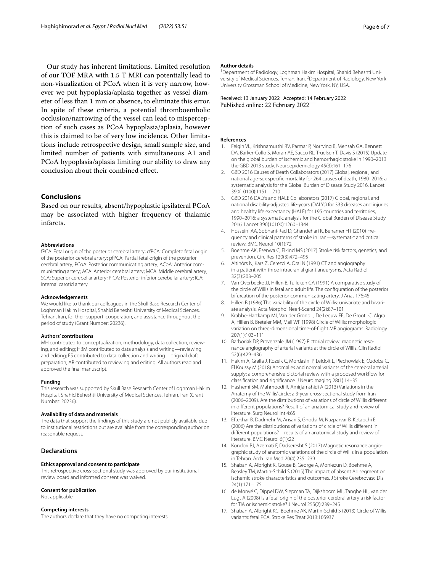Our study has inherent limitations. Limited resolution of our TOF MRA with 1.5 T MRI can potentially lead to non-visualization of PCoA when it is very narrow, however we put hypoplasia/aplasia together as vessel diameter of less than 1 mm or absence, to eliminate this error. In spite of these criteria, a potential thromboembolic occlusion/narrowing of the vessel can lead to misperception of such cases as PCoA hypoplasia/aplasia, however this is claimed to be of very low incidence. Other limitations include retrospective design, small sample size, and limited number of patients with simultaneous A1 and PCoA hypoplasia/aplasia limiting our ability to draw any conclusion about their combined efect.

# **Conclusions**

Based on our results, absent/hypoplastic ipsilateral PCoA may be associated with higher frequency of thalamic infarcts.

#### **Abbreviations**

fPCA: Fetal origin of the posterior cerebral artery; cfPCA: Complete fetal origin of the posterior cerebral artery; pfPCA: Partial fetal origin of the posterior cerebral artery; PCoA: Posterior communicating artery; ACoA: Anterior communicating artery; ACA: Anterior cerebral artery; MCA: Middle cerebral artery; SCA: Superior cerebellar artery; PICA: Posterior inferior cerebellar artery; ICA: Internal carotid artery.

#### **Acknowledgements**

We would like to thank our colleagues in the Skull Base Research Center of Loghman Hakim Hospital, Shahid Beheshti University of Medical Sciences, Tehran, Iran, for their support, cooperation, and assistance throughout the period of study (Grant Number: 20236).

#### **Authors' contributions**

MH contributed to conceptualization, methodology, data collection, reviewing, and editing; HBM contributed to data analysis and writing—reviewing and editing; ES contributed to data collection and writing—original draft preparation; AR contributed to reviewing and editing. All authors read and approved the fnal manuscript.

#### **Funding**

This research was supported by Skull Base Research Center of Loghman Hakim Hospital, Shahid Beheshti University of Medical Sciences, Tehran, Iran (Grant Number: 20236).

#### **Availability of data and materials**

The data that support the fndings of this study are not publicly available due to institutional restrictions but are available from the corresponding author on reasonable request.

# **Declarations**

#### **Ethics approval and consent to participate**

This retrospective cross-sectional study was approved by our institutional review board and informed consent was waived.

#### **Consent for publication**

Not applicable.

#### **Competing interests**

The authors declare that they have no competing interests.

#### **Author details**

<sup>1</sup> Department of Radiology, Loghman Hakim Hospital, Shahid Beheshti University of Medical Sciences, Tehran, Iran. <sup>2</sup> Department of Radiology, New York University Grossman School of Medicine, New York, NY, USA.

Received: 13 January 2022 Accepted: 14 February 2022 Published online: 22 February 2022

#### **References**

- <span id="page-5-0"></span>1. Feigin VL, Krishnamurthi RV, Parmar P, Norrving B, Mensah GA, Bennett DA, Barker-Collo S, Moran AE, Sacco RL, Truelsen T, Davis S (2015) Update on the global burden of ischemic and hemorrhagic stroke in 1990–2013: the GBD 2013 study. Neuroepidemiology 45(3):161–176
- <span id="page-5-1"></span>2. GBD 2016 Causes of Death Collaborators (2017) Global, regional, and national age-sex specifc mortality for 264 causes of death, 1980–2016: a systematic analysis for the Global Burden of Disease Study 2016. Lancet 390(10100):1151–1210
- <span id="page-5-2"></span>3. GBD 2016 DALYs and HALE Collaborators (2017) Global, regional, and national disability-adjusted life-years (DALYs) for 333 diseases and injuries and healthy life expectancy (HALE) for 195 countries and territories, 1990–2016: a systematic analysis for the Global Burden of Disease Study 2016. Lancet 390(10100):1260–1344
- <span id="page-5-3"></span>4. Hosseini AA, Sobhani-Rad D, Ghandehari K, Benamer HT (2010) Frequency and clinical patterns of stroke in Iran—systematic and critical review. BMC Neurol 10(1):72
- <span id="page-5-4"></span>5. Boehme AK, Esenwa C, Elkind MS (2017) Stroke risk factors, genetics, and prevention. Circ Res 120(3):472–495
- <span id="page-5-5"></span>6. Altinörs N, Kars Z, Cerezci A, Oral N (1991) CT and angiography in a patient with three intracranial giant aneurysms. Acta Radiol 32(3):203–205
- <span id="page-5-6"></span>7. Van Overbeeke JJ, Hillen B, Tulleken CA (1991) A comparative study of the circle of Willis in fetal and adult life. The confguration of the posterior bifurcation of the posterior communicating artery. J Anat 176:45
- <span id="page-5-7"></span>8. Hillen B (1986) The variability of the circle of Willis: univariate and bivariate analysis. Acta Morphol Neerl-Scand 24(2):87–101
- 9. Krabbe-Hartkamp MJ, Van der Grond J, De Leeuw FE, De Groot JC, Algra A, Hillen B, Breteler MM, Mali WP (1998) Circle of Willis: morphologic variation on three-dimensional time-of-fight MR angiograms. Radiology 207(1):103–111
- <span id="page-5-8"></span>10. Barboriak DP, Provenzale JM (1997) Pictorial review: magnetic resonance angiography of arterial variants at the circle of Willis. Clin Radiol 52(6):429–436
- <span id="page-5-9"></span>11. Hakim A, Gralla J, Rozeik C, Mordasini P, Leidolt L, Piechowiak E, Ozdoba C, El Koussy M (2018) Anomalies and normal variants of the cerebral arterial supply: a comprehensive pictorial review with a proposed workflow for classifcation and signifcance. J Neuroimaging 28(1):14–35
- <span id="page-5-11"></span>12. Hashemi SM, Mahmoodi R, Amirjamshidi A (2013) Variations in the Anatomy of the Willis' circle: a 3-year cross-sectional study from Iran (2006–2009). Are the distributions of variations of circle of Willis diferent in diferent populations? Result of an anatomical study and review of literature. Surg Neurol Int 4:65
- <span id="page-5-12"></span>13. Eftekhar B, Dadmehr M, Ansari S, Ghodsi M, Nazparvar B, Ketabchi E (2006) Are the distributions of variations of circle of Willis diferent in diferent populations?—results of an anatomical study and review of literature. BMC Neurol 6(1):22
- 14. Kondori BJ, Azemati F, Dadseresht S (2017) Magnetic resonance angiographic study of anatomic variations of the circle of Willis in a population in Tehran. Arch Iran Med 20(4):235–239
- 15. Shaban A, Albright K, Gouse B, George A, Monlezun D, Boehme A, Beasley TM, Martin-Schild S (2015) The impact of absent A1 segment on ischemic stroke characteristics and outcomes. J Stroke Cerebrovasc Dis 24(1):171–175
- <span id="page-5-13"></span>16. de Monyé C, Dippel DW, Siepman TA, Dijkshoorn ML, Tanghe HL, van der Lugt A (2008) Is a fetal origin of the posterior cerebral artery a risk factor for TIA or ischemic stroke? J Neurol 255(2):239–245
- <span id="page-5-10"></span>17. Shaban A, Albright KC, Boehme AK, Martin-Schild S (2013) Circle of Willis variants: fetal PCA. Stroke Res Treat 2013:105937